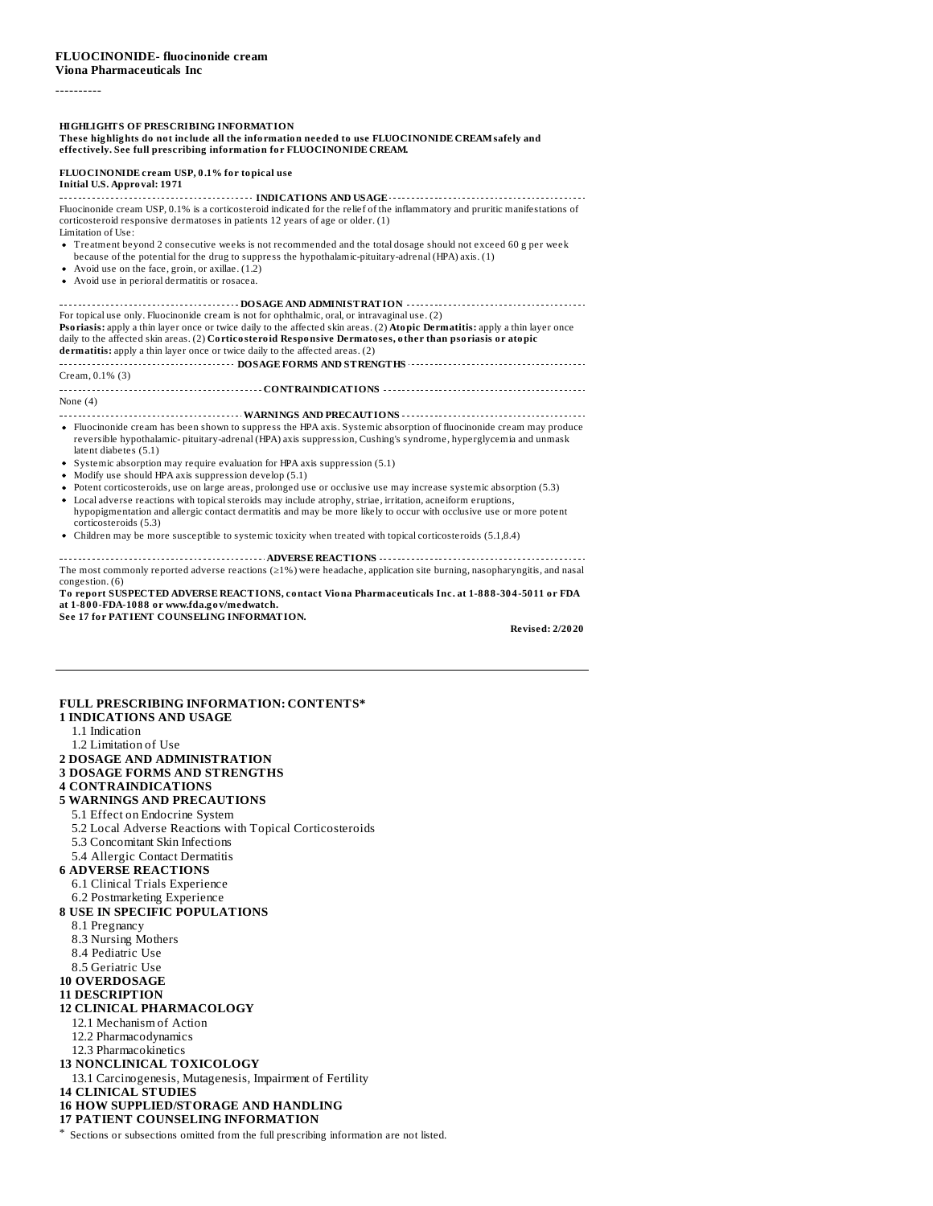----------

# **HIGHLIGHTS OF PRESCRIBING INFORMATION**

**These highlights do not include all the information needed to use FLUOCINONIDE CREAMsafely and effectively. See full prescribing information for FLUOCINONIDE CREAM.**

#### **FLUOCINONIDE cream USP, 0.1% for topical use Initial U.S. Approval: 1971**

**INDICATIONS AND USAGE INDICATIONS AND USAGE** *CONDITIONS* Fluocinonide cream USP, 0.1% is a corticosteroid indicated for the relief of the inflammatory and pruritic manifestations of corticosteroid responsive dermatoses in patients 12 years of age or older. (1) Limitation of Use:

- Treatment beyond 2 consecutive weeks is not recommended and the total dosage should not exceed 60 g per week because of the potential for the drug to suppress the hypothalamic-pituitary-adrenal (HPA) axis. (1)
- Avoid use on the face, groin, or axillae. (1.2)
- Avoid use in perioral dermatitis or rosacea.

**DOSAGE AND ADMINISTRATION** For topical use only. Fluocinonide cream is not for ophthalmic, oral, or intravaginal use. (2) **Psoriasis:** apply a thin layer once or twice daily to the affected skin areas. (2) **Atopic Dermatitis:** apply a thin layer once daily to the affected skin areas. (2) **Corticosteroid Responsive Dermatoses, other than psoriasis or atopic dermatitis:** apply a thin layer once or twice daily to the affected areas. (2) **DOSAGE FORMS AND STRENGTHS CONSUMBLE FORMS** AND STRENGTHS **CONSUMBLE 2020** Cream, 0.1% (3) **CONTRAINDICATIONS** None (4) **WARNINGS AND PRECAUTIONS** Fluocinonide cream has been shown to suppress the HPA axis. Systemic absorption of fluocinonide cream may produce reversible hypothalamic- pituitary-adrenal (HPA) axis suppression, Cushing's syndrome, hyperglycemia and unmask latent diabetes (5.1) Systemic absorption may require evaluation for HPA axis suppression (5.1) • Modify use should HPA axis suppression develop (5.1) Potent corticosteroids, use on large areas, prolonged use or occlusive use may increase systemic absorption (5.3)

- Local adverse reactions with topicalsteroids may include atrophy, striae, irritation, acneiform eruptions,  $\bullet$ hypopigmentation and allergic contact dermatitis and may be more likely to occur with occlusive use or more potent corticosteroids (5.3)
- Children may be more susceptible to systemic toxicity when treated with topical corticosteroids (5.1,8.4)

**ADVERSE REACTIONS** The most commonly reported adverse reactions (≥1%) were headache, application site burning, nasopharyngitis, and nasal congestion. (6)

**To report SUSPECTED ADVERSE REACTIONS, contact Viona Pharmaceuticals Inc. at 1-888-304-5011 or FDA at 1-800-FDA-1088 or www.fda.gov/medwatch.**

**See 17 for PATIENT COUNSELING INFORMATION.**

**Revised: 2/2020**

#### **FULL PRESCRIBING INFORMATION: CONTENTS\* 1 INDICATIONS AND USAGE**

- 1.1 Indication
- 1.2 Limitation of Use

## **2 DOSAGE AND ADMINISTRATION**

## **3 DOSAGE FORMS AND STRENGTHS**

- **4 CONTRAINDICATIONS**
- **5 WARNINGS AND PRECAUTIONS**
- 5.1 Effect on Endocrine System
- 5.2 Local Adverse Reactions with Topical Corticosteroids
- 5.3 Concomitant Skin Infections
- 5.4 Allergic Contact Dermatitis
- **6 ADVERSE REACTIONS**
	- 6.1 Clinical Trials Experience
	- 6.2 Postmarketing Experience

## **8 USE IN SPECIFIC POPULATIONS**

- 8.1 Pregnancy
- 8.3 Nursing Mothers
- 8.4 Pediatric Use
- 8.5 Geriatric Use
- **10 OVERDOSAGE**

#### **11 DESCRIPTION**

## **12 CLINICAL PHARMACOLOGY**

- 12.1 Mechanism of Action
- 12.2 Pharmacodynamics
- 12.3 Pharmacokinetics

## **13 NONCLINICAL TOXICOLOGY**

13.1 Carcinogenesis, Mutagenesis, Impairment of Fertility

**14 CLINICAL STUDIES**

## **16 HOW SUPPLIED/STORAGE AND HANDLING**

**17 PATIENT COUNSELING INFORMATION**

\* Sections or subsections omitted from the full prescribing information are not listed.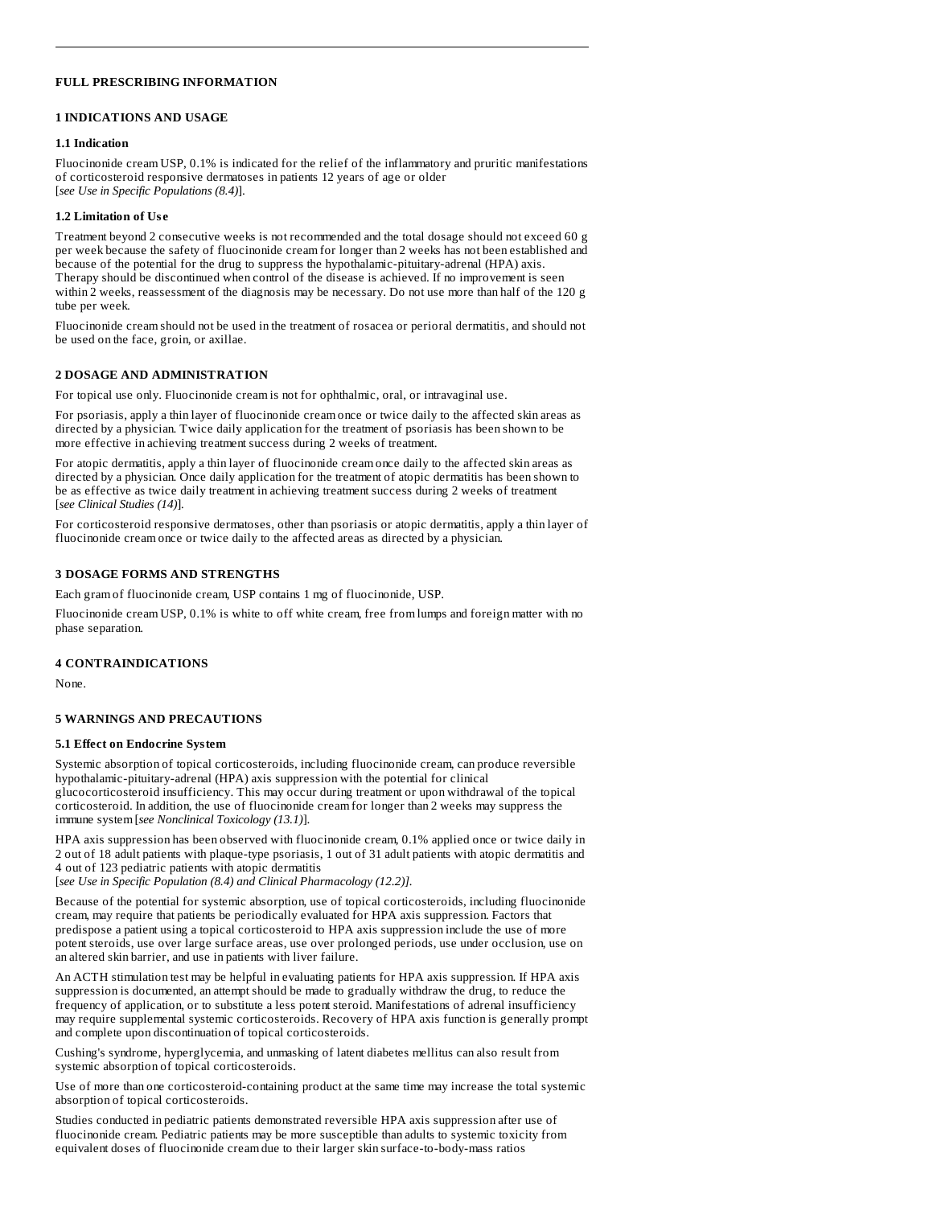## **FULL PRESCRIBING INFORMATION**

## **1 INDICATIONS AND USAGE**

#### **1.1 Indication**

Fluocinonide cream USP, 0.1% is indicated for the relief of the inflammatory and pruritic manifestations of corticosteroid responsive dermatoses in patients 12 years of age or older [*see Use in Specific Populations (8.4)*].

#### **1.2 Limitation of Us e**

Treatment beyond 2 consecutive weeks is not recommended and the total dosage should not exceed 60 g per week because the safety of fluocinonide cream for longer than 2 weeks has not been established and because of the potential for the drug to suppress the hypothalamic-pituitary-adrenal (HPA) axis. Therapy should be discontinued when control of the disease is achieved. If no improvement is seen within 2 weeks, reassessment of the diagnosis may be necessary. Do not use more than half of the 120 g tube per week.

Fluocinonide cream should not be used in the treatment of rosacea or perioral dermatitis, and should not be used on the face, groin, or axillae.

## **2 DOSAGE AND ADMINISTRATION**

For topical use only. Fluocinonide cream is not for ophthalmic, oral, or intravaginal use.

For psoriasis, apply a thin layer of fluocinonide cream once or twice daily to the affected skin areas as directed by a physician. Twice daily application for the treatment of psoriasis has been shown to be more effective in achieving treatment success during 2 weeks of treatment.

For atopic dermatitis, apply a thin layer of fluocinonide cream once daily to the affected skin areas as directed by a physician. Once daily application for the treatment of atopic dermatitis has been shown to be as effective as twice daily treatment in achieving treatment success during 2 weeks of treatment [*see Clinical Studies (14)*]*.*

For corticosteroid responsive dermatoses, other than psoriasis or atopic dermatitis, apply a thin layer of fluocinonide cream once or twice daily to the affected areas as directed by a physician.

#### **3 DOSAGE FORMS AND STRENGTHS**

Each gram of fluocinonide cream, USP contains 1 mg of fluocinonide, USP.

Fluocinonide cream USP, 0.1% is white to off white cream, free from lumps and foreign matter with no phase separation.

## **4 CONTRAINDICATIONS**

None.

#### **5 WARNINGS AND PRECAUTIONS**

#### **5.1 Effect on Endocrine System**

Systemic absorption of topical corticosteroids, including fluocinonide cream, can produce reversible hypothalamic-pituitary-adrenal (HPA) axis suppression with the potential for clinical glucocorticosteroid insufficiency. This may occur during treatment or upon withdrawal of the topical corticosteroid. In addition, the use of fluocinonide cream for longer than 2 weeks may suppress the immune system [*see Nonclinical Toxicology (13.1)*].

HPA axis suppression has been observed with fluocinonide cream, 0.1% applied once or twice daily in 2 out of 18 adult patients with plaque-type psoriasis, 1 out of 31 adult patients with atopic dermatitis and 4 out of 123 pediatric patients with atopic dermatitis

[*see Use in Specific Population (8.4) and Clinical Pharmacology (12.2)].*

Because of the potential for systemic absorption, use of topical corticosteroids, including fluocinonide cream, may require that patients be periodically evaluated for HPA axis suppression. Factors that predispose a patient using a topical corticosteroid to HPA axis suppression include the use of more potent steroids, use over large surface areas, use over prolonged periods, use under occlusion, use on an altered skin barrier, and use in patients with liver failure.

An ACTH stimulation test may be helpful in evaluating patients for HPA axis suppression. If HPA axis suppression is documented, an attempt should be made to gradually withdraw the drug, to reduce the frequency of application, or to substitute a less potent steroid. Manifestations of adrenal insufficiency may require supplemental systemic corticosteroids. Recovery of HPA axis function is generally prompt and complete upon discontinuation of topical corticosteroids.

Cushing's syndrome, hyperglycemia, and unmasking of latent diabetes mellitus can also result from systemic absorption of topical corticosteroids.

Use of more than one corticosteroid-containing product at the same time may increase the total systemic absorption of topical corticosteroids.

Studies conducted in pediatric patients demonstrated reversible HPA axis suppression after use of fluocinonide cream. Pediatric patients may be more susceptible than adults to systemic toxicity from equivalent doses of fluocinonide cream due to their larger skin surface-to-body-mass ratios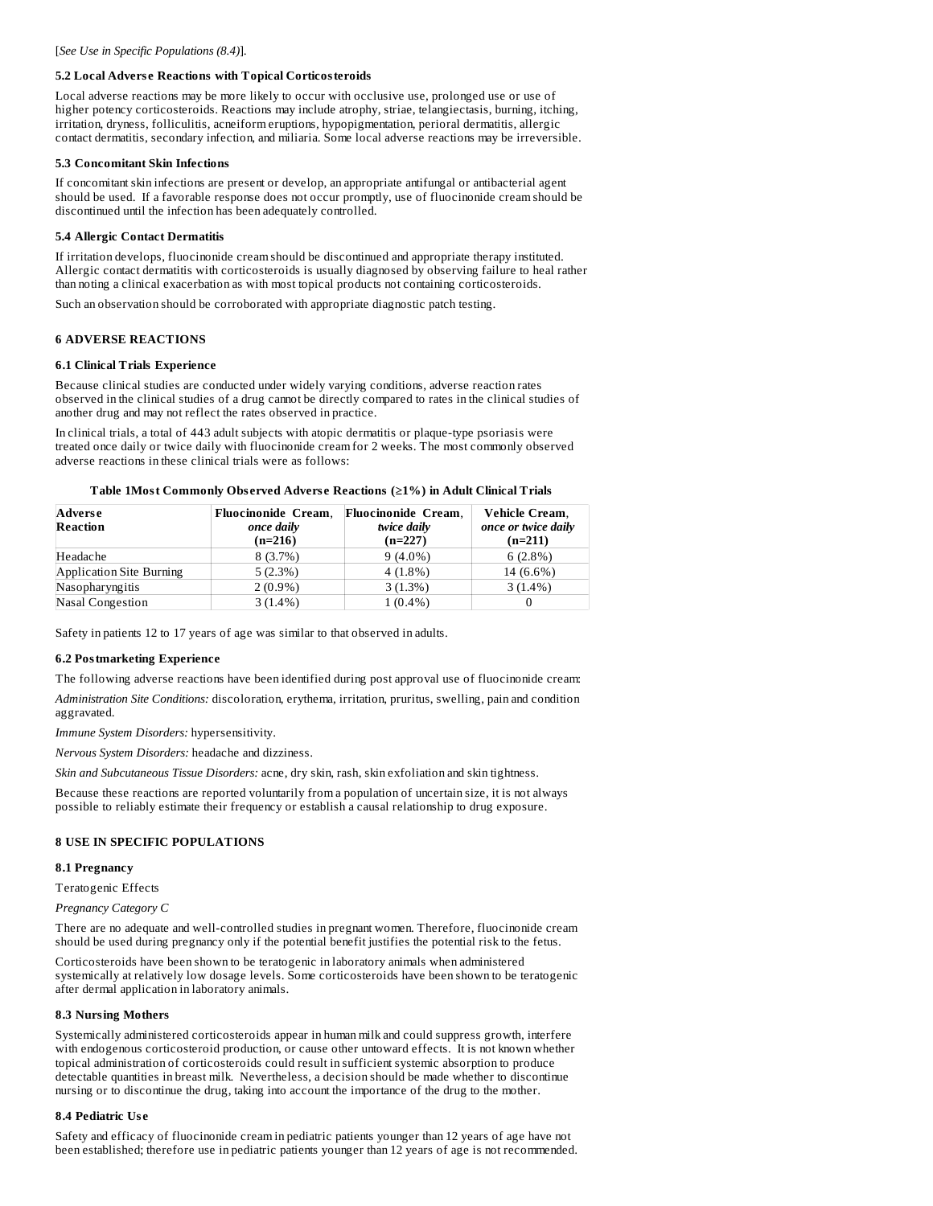#### **5.2 Local Advers e Reactions with Topical Corticosteroids**

Local adverse reactions may be more likely to occur with occlusive use, prolonged use or use of higher potency corticosteroids. Reactions may include atrophy, striae, telangiectasis, burning, itching, irritation, dryness, folliculitis, acneiform eruptions, hypopigmentation, perioral dermatitis, allergic contact dermatitis, secondary infection, and miliaria. Some local adverse reactions may be irreversible.

#### **5.3 Concomitant Skin Infections**

If concomitant skin infections are present or develop, an appropriate antifungal or antibacterial agent should be used. If a favorable response does not occur promptly, use of fluocinonide cream should be discontinued until the infection has been adequately controlled.

#### **5.4 Allergic Contact Dermatitis**

If irritation develops, fluocinonide cream should be discontinued and appropriate therapy instituted. Allergic contact dermatitis with corticosteroids is usually diagnosed by observing failure to heal rather than noting a clinical exacerbation as with most topical products not containing corticosteroids.

Such an observation should be corroborated with appropriate diagnostic patch testing.

#### **6 ADVERSE REACTIONS**

#### **6.1 Clinical Trials Experience**

Because clinical studies are conducted under widely varying conditions, adverse reaction rates observed in the clinical studies of a drug cannot be directly compared to rates in the clinical studies of another drug and may not reflect the rates observed in practice.

In clinical trials, a total of 443 adult subjects with atopic dermatitis or plaque-type psoriasis were treated once daily or twice daily with fluocinonide cream for 2 weeks. The most commonly observed adverse reactions in these clinical trials were as follows:

**Table 1Most Commonly Obs erved Advers e Reactions (≥1%) in Adult Clinical Trials**

| Adverse<br>Reaction      | Fluocinonide Cream,<br>once daily<br>$(n=216)$ | <b>Fluocinonide Cream.</b><br>twice daily<br>$(n=227)$ | <b>Vehicle Cream,</b><br>once or twice daily<br>$(n=211)$ |
|--------------------------|------------------------------------------------|--------------------------------------------------------|-----------------------------------------------------------|
| Headache                 | 8(3.7%)                                        | $9(4.0\%)$                                             | $6(2.8\%)$                                                |
| Application Site Burning | 5(2.3%)                                        | $4(1.8\%)$                                             | 14 (6.6%)                                                 |
| Nasopharyngitis          | $2(0.9\%)$                                     | 3(1.3%)                                                | $3(1.4\%)$                                                |
| Nasal Congestion         | $3(1.4\%)$                                     | 1 (0.4%)                                               |                                                           |

Safety in patients 12 to 17 years of age was similar to that observed in adults.

#### **6.2 Postmarketing Experience**

The following adverse reactions have been identified during post approval use of fluocinonide cream:

*Administration Site Conditions:* discoloration, erythema, irritation, pruritus, swelling, pain and condition aggravated.

*Immune System Disorders:* hypersensitivity.

*Nervous System Disorders:* headache and dizziness.

*Skin and Subcutaneous Tissue Disorders:* acne, dry skin, rash, skin exfoliation and skin tightness.

Because these reactions are reported voluntarily from a population of uncertain size, it is not always possible to reliably estimate their frequency or establish a causal relationship to drug exposure.

#### **8 USE IN SPECIFIC POPULATIONS**

#### **8.1 Pregnancy**

Teratogenic Effects

*Pregnancy Category C*

There are no adequate and well-controlled studies in pregnant women. Therefore, fluocinonide cream should be used during pregnancy only if the potential benefit justifies the potential risk to the fetus.

Corticosteroids have been shown to be teratogenic in laboratory animals when administered systemically at relatively low dosage levels. Some corticosteroids have been shown to be teratogenic after dermal application in laboratory animals.

#### **8.3 Nursing Mothers**

Systemically administered corticosteroids appear in human milk and could suppress growth, interfere with endogenous corticosteroid production, or cause other untoward effects. It is not known whether topical administration of corticosteroids could result in sufficient systemic absorption to produce detectable quantities in breast milk. Nevertheless, a decision should be made whether to discontinue nursing or to discontinue the drug, taking into account the importance of the drug to the mother.

#### **8.4 Pediatric Us e**

Safety and efficacy of fluocinonide cream in pediatric patients younger than 12 years of age have not been established; therefore use in pediatric patients younger than 12 years of age is not recommended.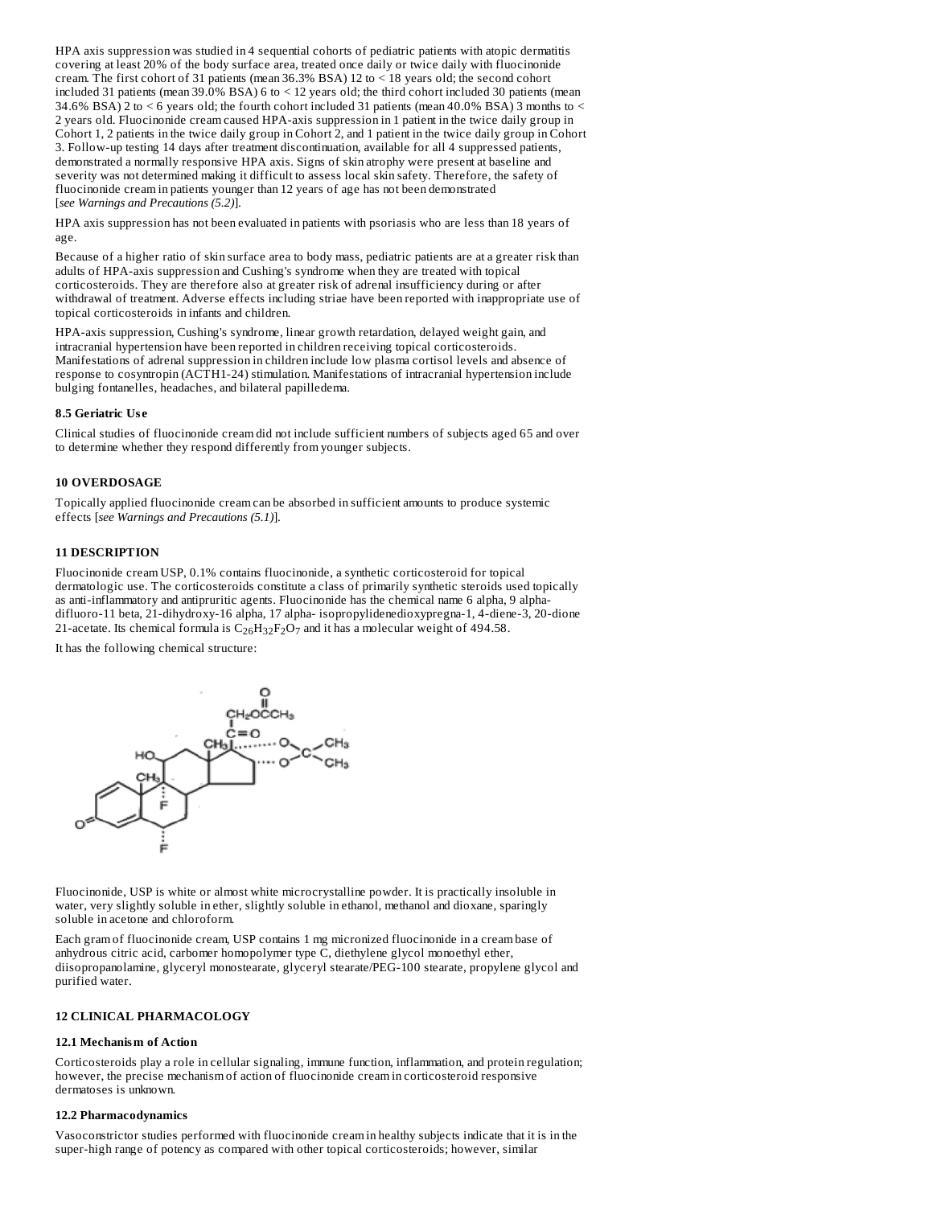HPA axis suppression was studied in 4 sequential cohorts of pediatric patients with atopic dermatitis covering at least 20% of the body surface area, treated once daily or twice daily with fluocinonide cream. The first cohort of 31 patients (mean 36.3% BSA) 12 to < 18 years old; the second cohort included 31 patients (mean 39.0% BSA) 6 to < 12 years old; the third cohort included 30 patients (mean 34.6% BSA) 2 to < 6 years old; the fourth cohort included 31 patients (mean 40.0% BSA) 3 months to < 2 years old. Fluocinonide cream caused HPA-axis suppression in 1 patient in the twice daily group in Cohort 1, 2 patients in the twice daily group in Cohort 2, and 1 patient in the twice daily group in Cohort 3. Follow-up testing 14 days after treatment discontinuation, available for all 4 suppressed patients, demonstrated a normally responsive HPA axis. Signs of skin atrophy were present at baseline and severity was not determined making it difficult to assess local skin safety. Therefore, the safety of fluocinonide cream in patients younger than 12 years of age has not been demonstrated [*see Warnings and Precautions (5.2)*].

HPA axis suppression has not been evaluated in patients with psoriasis who are less than 18 years of age.

Because of a higher ratio of skin surface area to body mass, pediatric patients are at a greater risk than adults of HPA-axis suppression and Cushing's syndrome when they are treated with topical corticosteroids. They are therefore also at greater risk of adrenal insufficiency during or after withdrawal of treatment. Adverse effects including striae have been reported with inappropriate use of topical corticosteroids in infants and children.

HPA-axis suppression, Cushing's syndrome, linear growth retardation, delayed weight gain, and intracranial hypertension have been reported in children receiving topical corticosteroids. Manifestations of adrenal suppression in children include low plasma cortisol levels and absence of response to cosyntropin (ACTH1-24) stimulation. Manifestations of intracranial hypertension include bulging fontanelles, headaches, and bilateral papilledema.

#### **8.5 Geriatric Us e**

Clinical studies of fluocinonide cream did not include sufficient numbers of subjects aged 65 and over to determine whether they respond differently from younger subjects.

## **10 OVERDOSAGE**

Topically applied fluocinonide cream can be absorbed in sufficient amounts to produce systemic effects [*see Warnings and Precautions (5.1)*].

## **11 DESCRIPTION**

Fluocinonide cream USP, 0.1% contains fluocinonide, a synthetic corticosteroid for topical dermatologic use. The corticosteroids constitute a class of primarily synthetic steroids used topically as anti-inflammatory and antipruritic agents. Fluocinonide has the chemical name 6 alpha, 9 alphadifluoro-11 beta, 21-dihydroxy-16 alpha, 17 alpha- isopropylidenedioxypregna-1, 4-diene-3, 20-dione 21-acetate. Its chemical formula is  $\rm C_{26}H_{32}F_2O_7$  and it has a molecular weight of 494.58.

It has the following chemical structure:



Fluocinonide, USP is white or almost white microcrystalline powder. It is practically insoluble in water, very slightly soluble in ether, slightly soluble in ethanol, methanol and dioxane, sparingly soluble in acetone and chloroform.

Each gram of fluocinonide cream, USP contains 1 mg micronized fluocinonide in a cream base of anhydrous citric acid, carbomer homopolymer type  $\overline{C}$ , diethylene glycol monoethyl ether, diisopropanolamine, glyceryl monostearate, glyceryl stearate/PEG-100 stearate, propylene glycol and purified water.

#### **12 CLINICAL PHARMACOLOGY**

#### **12.1 Mechanism of Action**

Corticosteroids play a role in cellular signaling, immune function, inflammation, and protein regulation; however, the precise mechanism of action of fluocinonide cream in corticosteroid responsive dermatoses is unknown.

#### **12.2 Pharmacodynamics**

Vasoconstrictor studies performed with fluocinonide cream in healthy subjects indicate that it is in the super-high range of potency as compared with other topical corticosteroids; however, similar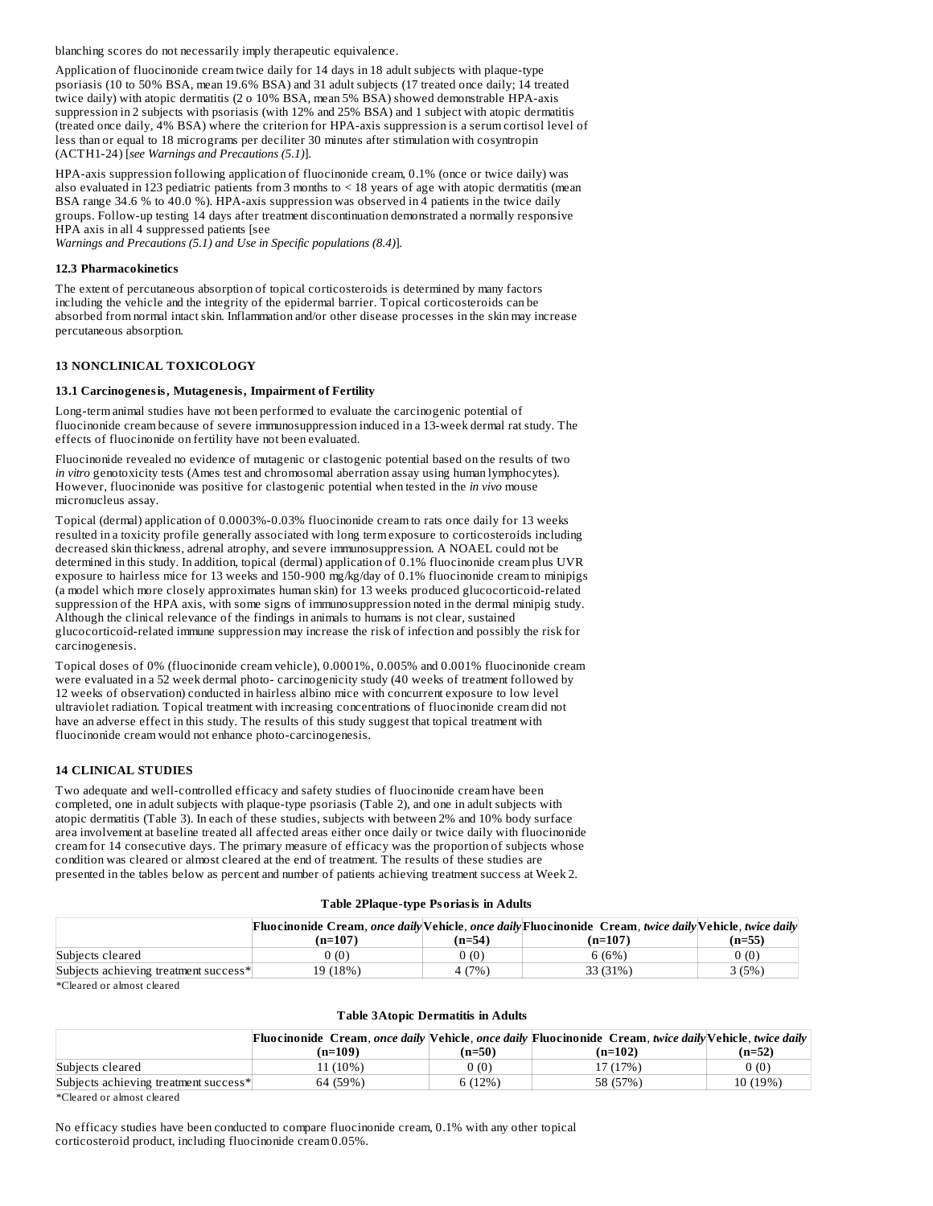blanching scores do not necessarily imply therapeutic equivalence.

Application of fluocinonide cream twice daily for 14 days in 18 adult subjects with plaque-type psoriasis (10 to 50% BSA, mean 19.6% BSA) and 31 adult subjects (17 treated once daily; 14 treated twice daily) with atopic dermatitis (2 o 10% BSA, mean 5% BSA) showed demonstrable HPA-axis suppression in 2 subjects with psoriasis (with 12% and 25% BSA) and 1 subject with atopic dermatitis (treated once daily, 4% BSA) where the criterion for HPA-axis suppression is a serum cortisol level of less than or equal to 18 micrograms per deciliter 30 minutes after stimulation with cosyntropin (ACTH1-24) [*see Warnings and Precautions (5.1)*].

HPA-axis suppression following application of fluocinonide cream, 0.1% (once or twice daily) was also evaluated in 123 pediatric patients from 3 months to < 18 years of age with atopic dermatitis (mean BSA range 34.6 % to 40.0 %). HPA-axis suppression was observed in 4 patients in the twice daily groups. Follow-up testing 14 days after treatment discontinuation demonstrated a normally responsive HPA axis in all 4 suppressed patients [see

*Warnings and Precautions (5.1) and Use in Specific populations (8.4)*]*.*

### **12.3 Pharmacokinetics**

The extent of percutaneous absorption of topical corticosteroids is determined by many factors including the vehicle and the integrity of the epidermal barrier. Topical corticosteroids can be absorbed from normal intact skin. Inflammation and/or other disease processes in the skin may increase percutaneous absorption.

#### **13 NONCLINICAL TOXICOLOGY**

#### **13.1 Carcinogenesis, Mutagenesis, Impairment of Fertility**

Long-term animal studies have not been performed to evaluate the carcinogenic potential of fluocinonide cream because of severe immunosuppression induced in a 13-week dermal rat study. The effects of fluocinonide on fertility have not been evaluated.

Fluocinonide revealed no evidence of mutagenic or clastogenic potential based on the results of two *in vitro* genotoxicity tests (Ames test and chromosomal aberration assay using human lymphocytes). However, fluocinonide was positive for clastogenic potential when tested in the *in vivo* mouse micronucleus assay.

Topical (dermal) application of 0.0003%-0.03% fluocinonide cream to rats once daily for 13 weeks resulted in a toxicity profile generally associated with long term exposure to corticosteroids including decreased skin thickness, adrenal atrophy, and severe immunosuppression. A NOAEL could not be determined in this study. In addition, topical (dermal) application of 0.1% fluocinonide cream plus UVR exposure to hairless mice for 13 weeks and 150-900 mg/kg/day of 0.1% fluocinonide cream to minipigs (a model which more closely approximates human skin) for 13 weeks produced glucocorticoid-related suppression of the HPA axis, with some signs of immunosuppression noted in the dermal minipig study. Although the clinical relevance of the findings in animals to humans is not clear, sustained glucocorticoid-related immune suppression may increase the risk of infection and possibly the risk for carcinogenesis.

Topical doses of 0% (fluocinonide cream vehicle), 0.0001%, 0.005% and 0.001% fluocinonide cream were evaluated in a 52 week dermal photo- carcinogenicity study (40 weeks of treatment followed by 12 weeks of observation) conducted in hairless albino mice with concurrent exposure to low level ultraviolet radiation. Topical treatment with increasing concentrations of fluocinonide cream did not have an adverse effect in this study. The results of this study suggest that topical treatment with fluocinonide cream would not enhance photo-carcinogenesis.

#### **14 CLINICAL STUDIES**

Two adequate and well-controlled efficacy and safety studies of fluocinonide cream have been completed, one in adult subjects with plaque-type psoriasis (Table 2), and one in adult subjects with atopic dermatitis (Table 3). In each of these studies, subjects with between 2% and 10% body surface area involvement at baseline treated all affected areas either once daily or twice daily with fluocinonide cream for 14 consecutive days. The primary measure of efficacy was the proportion of subjects whose condition was cleared or almost cleared at the end of treatment. The results of these studies are presented in the tables below as percent and number of patients achieving treatment success at Week 2.

#### **Table 2Plaque-type Psoriasis in Adults**

|                                       |           |        | Fluocinonide Cream, once daily Vehicle, once daily Fluocinonide Cream, twice daily Vehicle, twice daily |        |
|---------------------------------------|-----------|--------|---------------------------------------------------------------------------------------------------------|--------|
|                                       | $(n=107)$ | (n=54) | $(n=107)$                                                                                               | (n=55) |
| Subiects cleared                      | 0(0)      | 0(0)   | 6 (6%)                                                                                                  | ን (0)  |
| Subjects achieving treatment success* | 19 (18%)  | 4(7%)  | 33 (31%)                                                                                                | 3 (5%) |

\*Cleared or almost cleared

#### **Table 3Atopic Dermatitis in Adults**

| $(n=109)$                                         | $(n=50)$ | (n=102)  | (n=52)                                                                                                         |
|---------------------------------------------------|----------|----------|----------------------------------------------------------------------------------------------------------------|
| 11 (10%)                                          | 0 (0)    | 17 (17%) | (0)                                                                                                            |
| Subjects achieving treatment success*<br>64 (59%) | 6(12%)   | 58 (57%) | 10 (19%)                                                                                                       |
|                                                   |          |          | <b>Fluocinonide</b> Cream, once daily Vehicle, once daily Fluocinonide Cream, twice daily Vehicle, twice daily |

\*Cleared or almost cleared

No efficacy studies have been conducted to compare fluocinonide cream, 0.1% with any other topical corticosteroid product, including fluocinonide cream 0.05%.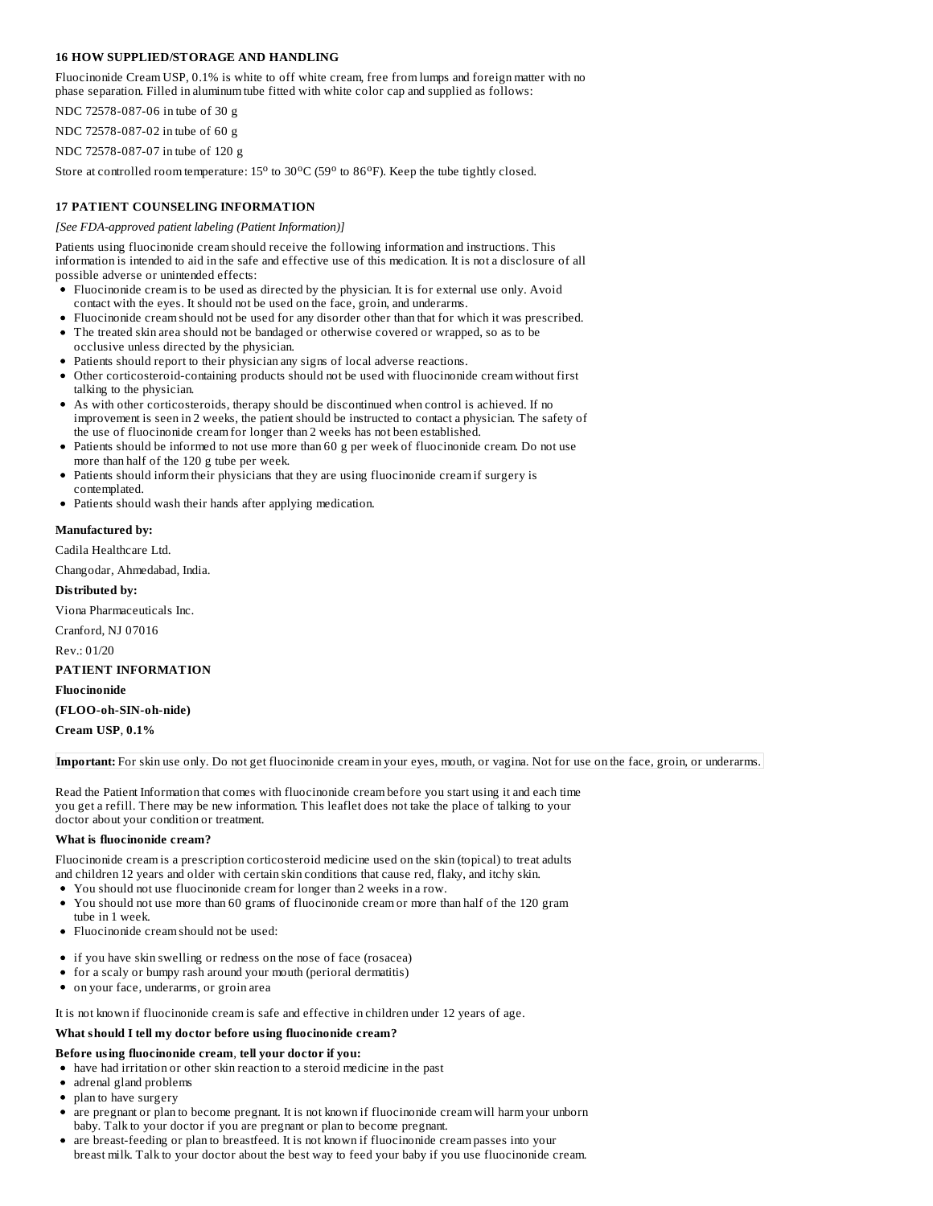## **16 HOW SUPPLIED/STORAGE AND HANDLING**

Fluocinonide Cream USP, 0.1% is white to off white cream, free from lumps and foreign matter with no phase separation. Filled in aluminum tube fitted with white color cap and supplied as follows:

NDC 72578-087-06 in tube of 30 g

NDC 72578-087-02 in tube of 60 g

NDC 72578-087-07 in tube of 120 g

Store at controlled room temperature:  $15^{\circ}$  to  $30^{\circ}$ C (59 $^{\circ}$  to  $86^{\circ}$ F). Keep the tube tightly closed.

## **17 PATIENT COUNSELING INFORMATION**

#### *[See FDA-approved patient labeling (Patient Information)]*

Patients using fluocinonide cream should receive the following information and instructions. This information is intended to aid in the safe and effective use of this medication. It is not a disclosure of all possible adverse or unintended effects:

- Fluocinonide cream is to be used as directed by the physician. It is for external use only. Avoid contact with the eyes. It should not be used on the face, groin, and underarms.
- Fluocinonide cream should not be used for any disorder other than that for which it was prescribed.
- The treated skin area should not be bandaged or otherwise covered or wrapped, so as to be occlusive unless directed by the physician.
- Patients should report to their physician any signs of local adverse reactions.
- Other corticosteroid-containing products should not be used with fluocinonide cream without first talking to the physician.
- As with other corticosteroids, therapy should be discontinued when control is achieved. If no improvement is seen in 2 weeks, the patient should be instructed to contact a physician. The safety of the use of fluocinonide cream for longer than 2 weeks has not been established.
- Patients should be informed to not use more than 60 g per week of fluocinonide cream. Do not use more than half of the 120 g tube per week.
- Patients should inform their physicians that they are using fluocinonide cream if surgery is contemplated.
- Patients should wash their hands after applying medication.

## **Manufactured by:**

Cadila Healthcare Ltd.

Changodar, Ahmedabad, India.

## **Distributed by:**

Viona Pharmaceuticals Inc.

Cranford, NJ 07016

Rev.: 01/20

#### **PATIENT INFORMATION**

**Fluocinonide**

## **(FLOO-oh-SIN-oh-nide)**

**Cream USP**, **0.1%**

## **Important:** For skin use only. Do not get fluocinonide cream in your eyes, mouth, or vagina. Not for use on the face, groin, or underarms.

Read the Patient Information that comes with fluocinonide cream before you start using it and each time you get a refill. There may be new information. This leaflet does not take the place of talking to your doctor about your condition or treatment.

#### **What is fluocinonide cream?**

Fluocinonide cream is a prescription corticosteroid medicine used on the skin (topical) to treat adults and children 12 years and older with certain skin conditions that cause red, flaky, and itchy skin.

- You should not use fluocinonide cream for longer than 2 weeks in a row.
- You should not use more than 60 grams of fluocinonide cream or more than half of the 120 gram tube in 1 week.
- Fluocinonide cream should not be used:
- if you have skin swelling or redness on the nose of face (rosacea)
- for a scaly or bumpy rash around your mouth (perioral dermatitis)
- on your face, underarms, or groin area

It is not known if fluocinonide cream is safe and effective in children under 12 years of age.

#### **What should I tell my doctor before using fluocinonide cream?**

#### **Before using fluocinonide cream**, **tell your doctor if you:**

- have had irritation or other skin reaction to a steroid medicine in the past
- adrenal gland problems
- plan to have surgery
- are pregnant or plan to become pregnant. It is not known if fluocinonide cream will harm your unborn baby. Talk to your doctor if you are pregnant or plan to become pregnant.
- are breast-feeding or plan to breastfeed. It is not known if fluocinonide cream passes into your breast milk. Talk to your doctor about the best way to feed your baby if you use fluocinonide cream.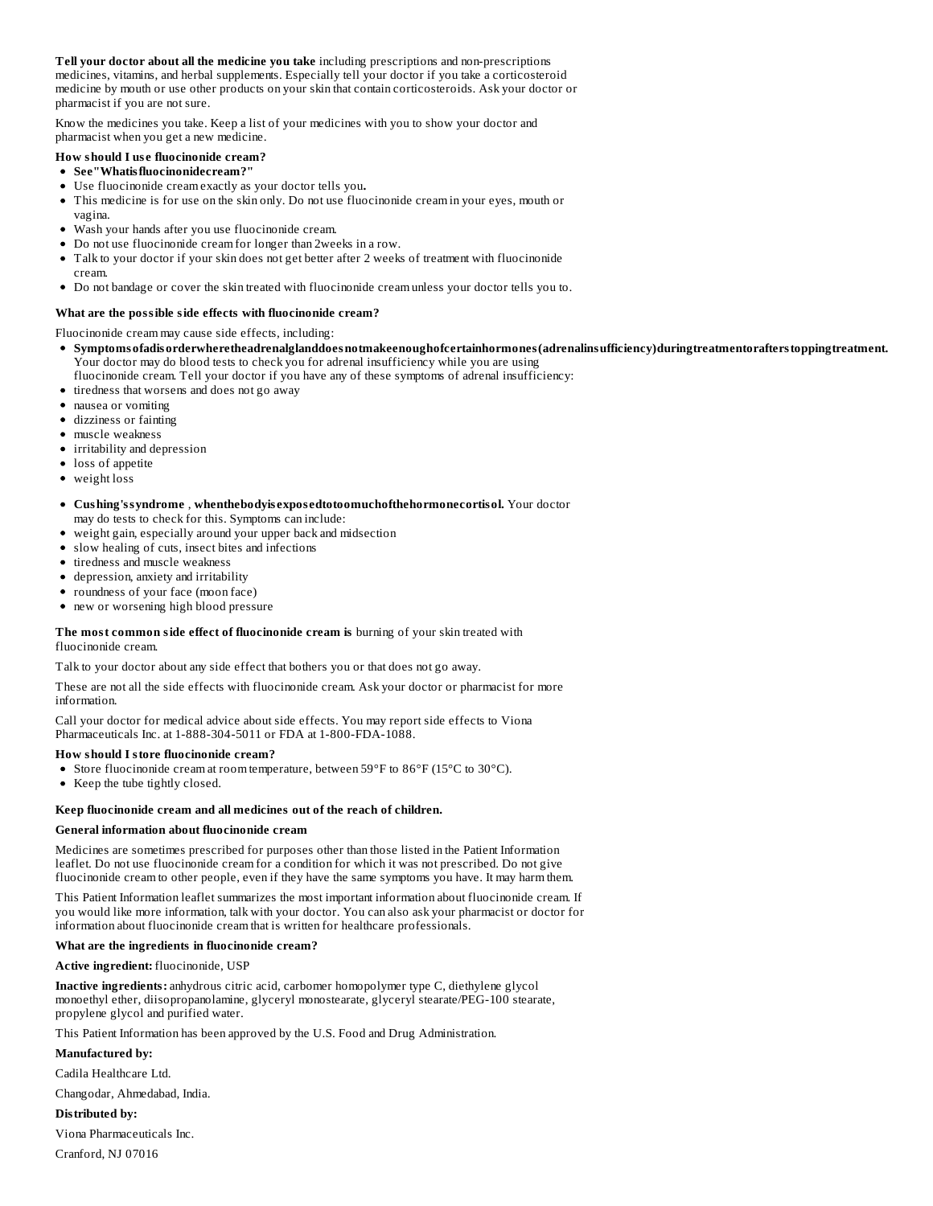**Tell your doctor about all the medicine you take** including prescriptions and non-prescriptions medicines, vitamins, and herbal supplements. Especially tell your doctor if you take a corticosteroid medicine by mouth or use other products on your skin that contain corticosteroids. Ask your doctor or pharmacist if you are not sure.

Know the medicines you take. Keep a list of your medicines with you to show your doctor and pharmacist when you get a new medicine.

## **How should I us e fluocinonide cream?**

- **See"Whatisfluocinonidecream?"**
- Use fluocinonide cream exactly as your doctor tells you**.**
- This medicine is for use on the skin only. Do not use fluocinonide cream in your eyes, mouth or vagina.
- Wash your hands after you use fluocinonide cream.
- Do not use fluocinonide cream for longer than 2weeks in a row.
- Talk to your doctor if your skin does not get better after 2 weeks of treatment with fluocinonide cream.
- Do not bandage or cover the skin treated with fluocinonide cream unless your doctor tells you to.

## **What are the possible side effects with fluocinonide cream?**

Fluocinonide cream may cause side effects, including:

- **Symptomsofadisorderwheretheadrenalglanddoesnotmakeenoughofcertainhormones(adrenalinsufficiency)duringtreatmentorafterstoppingtreatment.** Your doctor may do blood tests to check you for adrenal insufficiency while you are using
- fluocinonide cream. Tell your doctor if you have any of these symptoms of adrenal insufficiency:
- tiredness that worsens and does not go away
- nausea or vomiting
- dizziness or fainting
- muscle weakness
- irritability and depression
- loss of appetite
- weight loss

**Cushing'ssyndrome** , **whenthebodyis expos edtotoomuchofthehormonecortisol.** Your doctor may do tests to check for this. Symptoms can include:

- weight gain, especially around your upper back and midsection  $\bullet$
- slow healing of cuts, insect bites and infections
- tiredness and muscle weakness
- depression, anxiety and irritability
- roundness of your face (moon face)
- new or worsening high blood pressure

#### **The most common side effect of fluocinonide cream is** burning of your skin treated with fluocinonide cream.

Talk to your doctor about any side effect that bothers you or that does not go away.

These are not all the side effects with fluocinonide cream. Ask your doctor or pharmacist for more information.

Call your doctor for medical advice about side effects. You may report side effects to Viona Pharmaceuticals Inc. at 1-888-304-5011 or FDA at 1-800-FDA-1088.

#### **How should I store fluocinonide cream?**

- Store fluocinonide cream at room temperature, between 59°F to 86°F (15°C to 30°C).
- Keep the tube tightly closed.

#### **Keep fluocinonide cream and all medicines out of the reach of children.**

#### **General information about fluocinonide cream**

Medicines are sometimes prescribed for purposes other than those listed in the Patient Information leaflet. Do not use fluocinonide cream for a condition for which it was not prescribed. Do not give fluocinonide cream to other people, even if they have the same symptoms you have. It may harm them.

This Patient Information leaflet summarizes the most important information about fluocinonide cream. If you would like more information, talk with your doctor. You can also ask your pharmacist or doctor for information about fluocinonide cream that is written for healthcare professionals.

#### **What are the ingredients in fluocinonide cream?**

**Active ingredient:** fluocinonide, USP

**Inactive ingredients:** anhydrous citric acid, carbomer homopolymer type C, diethylene glycol monoethyl ether, diisopropanolamine, glyceryl monostearate, glyceryl stearate/PEG-100 stearate, propylene glycol and purified water.

This Patient Information has been approved by the U.S. Food and Drug Administration.

**Manufactured by:**

Cadila Healthcare Ltd.

Changodar, Ahmedabad, India.

**Distributed by:**

Viona Pharmaceuticals Inc. Cranford, NJ 07016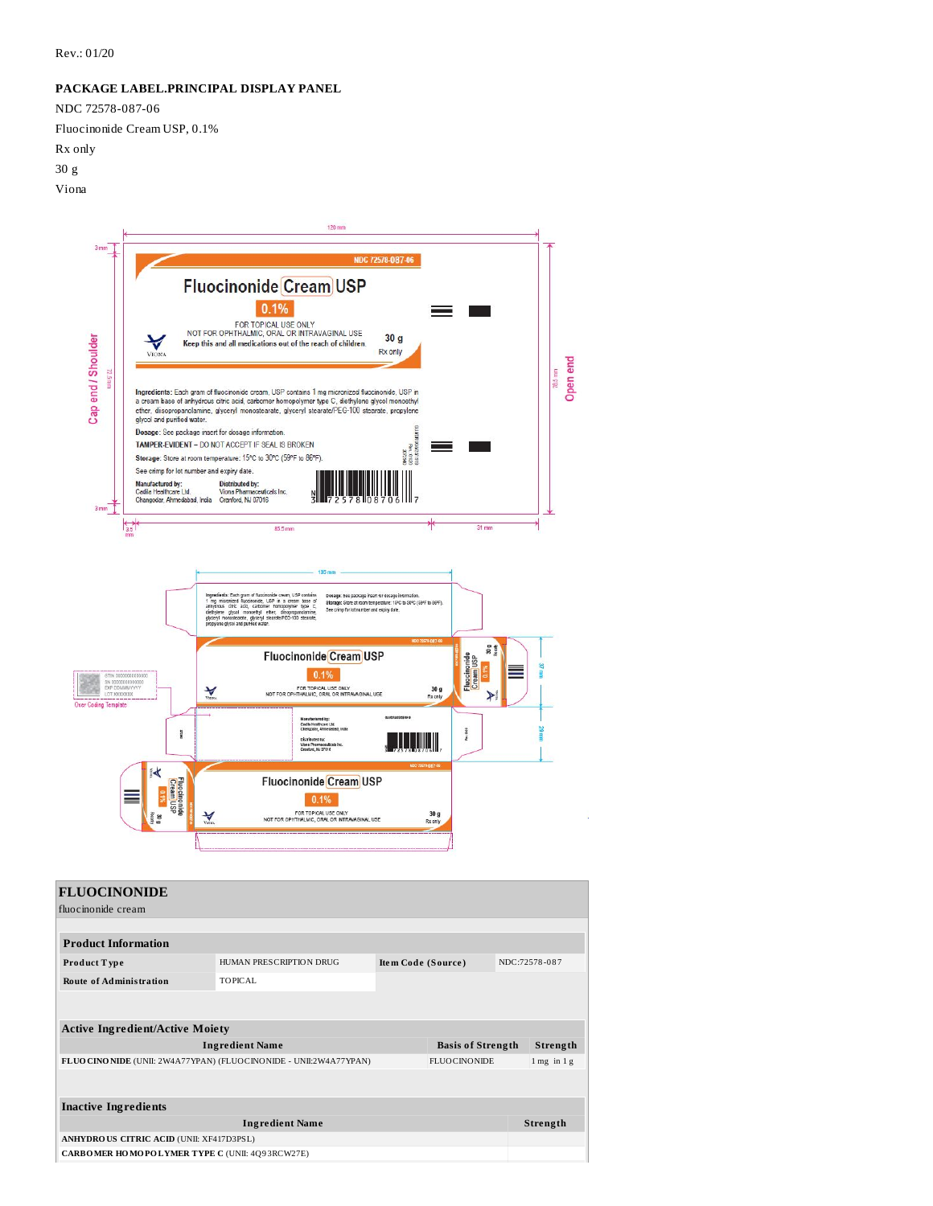## **PACKAGE LABEL.PRINCIPAL DISPLAY PANEL**

NDC 72578-087-06

Fluocinonide Cream USP, 0.1%

Rx only

30 g

Viona



| <b>FLUOCINONIDE</b>                                                   |                         |                                     |                          |          |                 |
|-----------------------------------------------------------------------|-------------------------|-------------------------------------|--------------------------|----------|-----------------|
| fluocinonide cream                                                    |                         |                                     |                          |          |                 |
|                                                                       |                         |                                     |                          |          |                 |
| <b>Product Information</b>                                            |                         |                                     |                          |          |                 |
| Product Type                                                          | HUMAN PRESCRIPTION DRUG | NDC:72578-087<br>Item Code (Source) |                          |          |                 |
| <b>Route of Administration</b>                                        | TOPICAL                 |                                     |                          |          |                 |
|                                                                       |                         |                                     |                          |          |                 |
|                                                                       |                         |                                     |                          |          |                 |
| <b>Active Ingredient/Active Moiety</b>                                |                         |                                     |                          |          |                 |
| <b>Ingredient Name</b>                                                |                         |                                     | <b>Basis of Strength</b> |          | Strength        |
| FLUO CINO NIDE (UNII: 2W4A77YPAN) (FLUO CINO NIDE - UNII: 2W4A77YPAN) |                         |                                     | <b>FLUOCINONIDE</b>      |          | $1$ mg in $1$ g |
|                                                                       |                         |                                     |                          |          |                 |
|                                                                       |                         |                                     |                          |          |                 |
| <b>Inactive Ingredients</b>                                           |                         |                                     |                          |          |                 |
| <b>Ingredient Name</b>                                                |                         |                                     |                          | Strength |                 |
| ANHYDROUS CITRIC ACID (UNII: XF417D3PSL)                              |                         |                                     |                          |          |                 |
| CARBOMER HOMOPOLYMER TYPE C (UNII: 4Q93RCW27E)                        |                         |                                     |                          |          |                 |